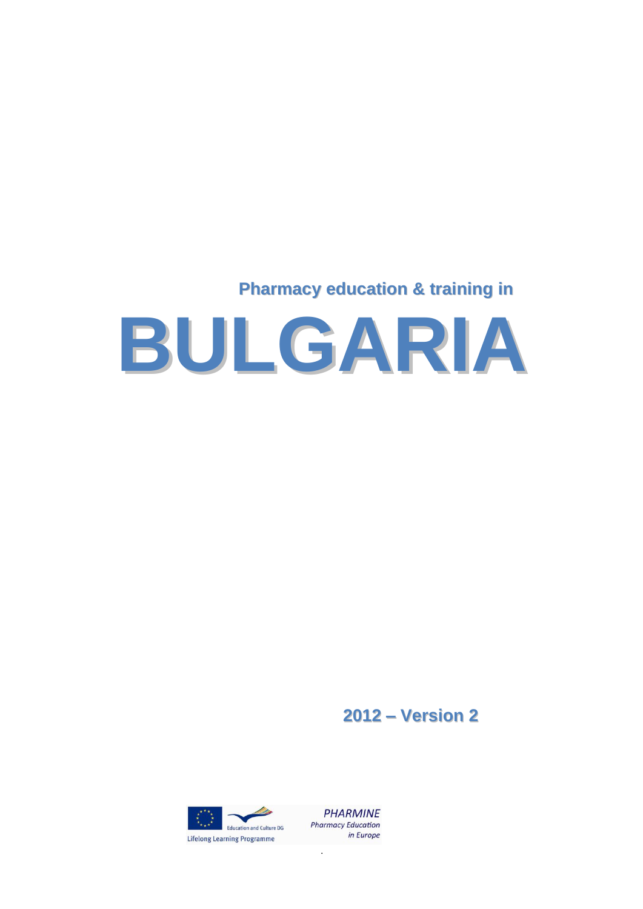# **Pharmacy education & training in**



**2012 – Version 2**





.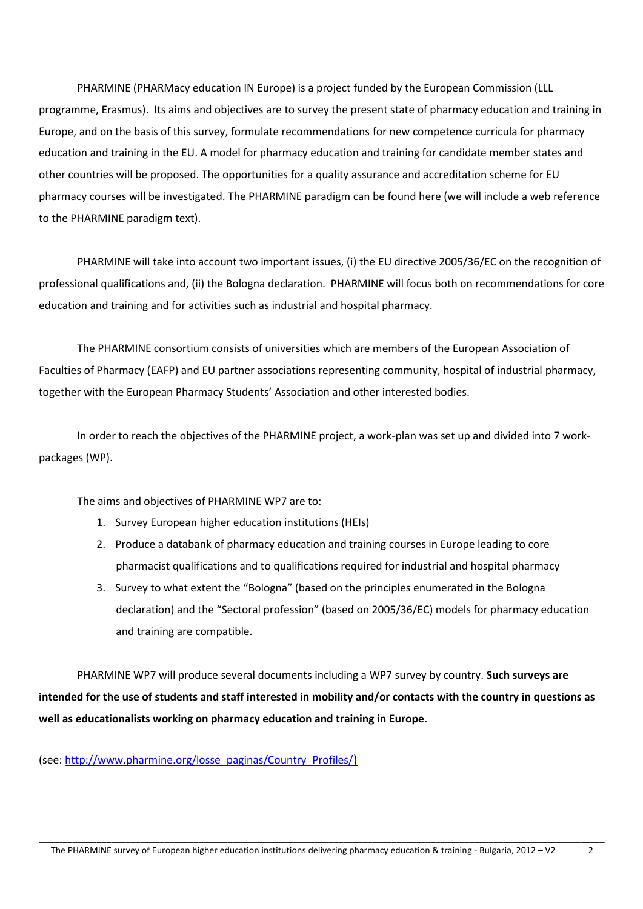PHARMINE (PHARMacy education IN Europe) is a project funded by the European Commission (LLL programme, Erasmus). Its aims and objectives are to survey the present state of pharmacy education and training in Europe, and on the basis of this survey, formulate recommendations for new competence curricula for pharmacy education and training in the EU. A model for pharmacy education and training for candidate member states and other countries will be proposed. The opportunities for a quality assurance and accreditation scheme for EU pharmacy courses will be investigated. The PHARMINE paradigm can be found here (we will include a web reference to the PHARMINE paradigm text).

PHARMINE will take into account two important issues, (i) the EU directive 2005/36/EC on the recognition of professional qualifications and, (ii) the Bologna declaration. PHARMINE will focus both on recommendations for core education and training and for activities such as industrial and hospital pharmacy.

The PHARMINE consortium consists of universities which are members of the European Association of Faculties of Pharmacy (EAFP) and EU partner associations representing community, hospital of industrial pharmacy, together with the European Pharmacy Students' Association and other interested bodies.

In order to reach the objectives of the PHARMINE project, a work-plan was set up and divided into 7 workpackages (WP).

The aims and objectives of PHARMINE WP7 are to:

- 1. Survey European higher education institutions (HEIs)
- 2. Produce a databank of pharmacy education and training courses in Europe leading to core pharmacist qualifications and to qualifications required for industrial and hospital pharmacy
- 3. Survey to what extent the "Bologna" (based on the principles enumerated in the Bologna declaration) and the "Sectoral profession" (based on 2005/36/EC) models for pharmacy education and training are compatible.

PHARMINE WP7 will produce several documents including a WP7 survey by country. **Such surveys are intended for the use of students and staff interested in mobility and/or contacts with the country in questions as well as educationalists working on pharmacy education and training in Europe.** 

(see: [http://www.pharmine.org/losse\\_paginas/Country\\_Profiles/](http://www.pharmine.org/losse_paginas/Country_Profiles/))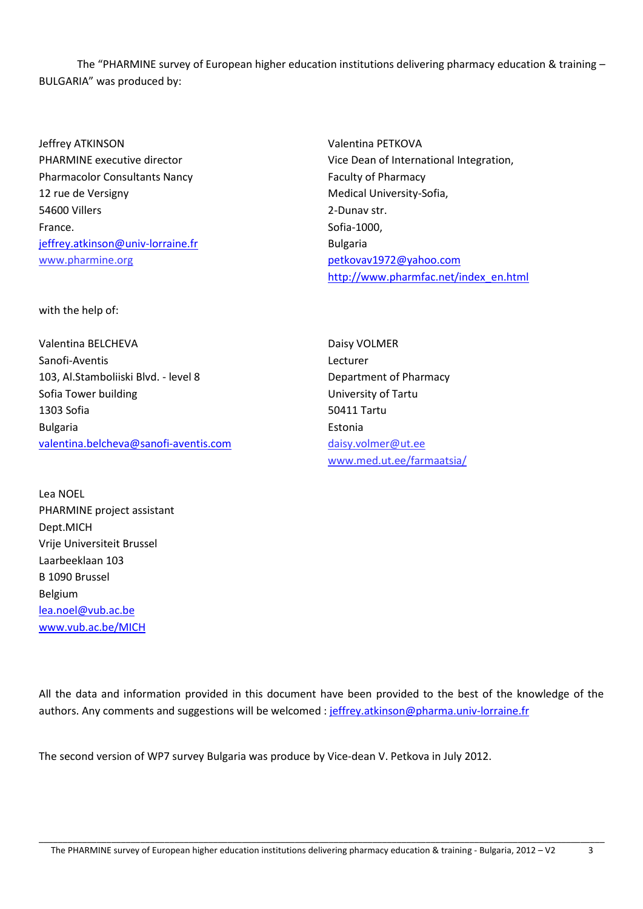The "PHARMINE survey of European higher education institutions delivering pharmacy education & training – BULGARIA" was produced by:

Jeffrey ATKINSON PHARMINE executive director Pharmacolor Consultants Nancy 12 rue de Versigny 54600 Villers France. [jeffrey.atkinson@univ-lorraine.fr](mailto:jeffrey.atkinson@univ-lorraine.fr) www.pharmine.org

Valentina PETKOVA Vice Dean of International Integration, Faculty of Pharmacy Medical University-Sofia, 2-Dunav str. Sofia-1000, Bulgaria [petkovav1972@yahoo.com](mailto:petkovav1972@yahoo.com) [http://www.pharmfac.net/index\\_en.html](http://www.pharmfac.net/index_en.html)

with the help of:

Valentina BELCHEVA Sanofi-Aventis 103, Al.Stamboliiski Blvd. - level 8 Sofia Tower building 1303 Sofia Bulgaria [valentina.belcheva@sanofi-aventis.com](mailto:valentina.belcheva@sanofi-aventis.com)

Lea NOEL PHARMINE project assistant Dept.MICH Vrije Universiteit Brussel Laarbeeklaan 103 B 1090 Brussel Belgium [lea.noel@vub.ac.be](mailto:lea.noel@vub.ac.be) 

[www.vub.ac.be/MICH](http://www.vub.ac.be/MICH)

Daisy VOLMER Lecturer Department of Pharmacy University of Tartu 50411 Tartu Estonia [daisy.volmer@ut.ee](mailto:daisy.volmer@ut.ee) www.med.ut.ee/farmaatsia/

All the data and information provided in this document have been provided to the best of the knowledge of the authors. Any comments and suggestions will be welcomed : [jeffrey.atkinson@pharma.univ-lorraine.fr](mailto:jeffrey.atkinson@pharma.univ-lorraine.fr)

The second version of WP7 survey Bulgaria was produce by Vice-dean V. Petkova in July 2012.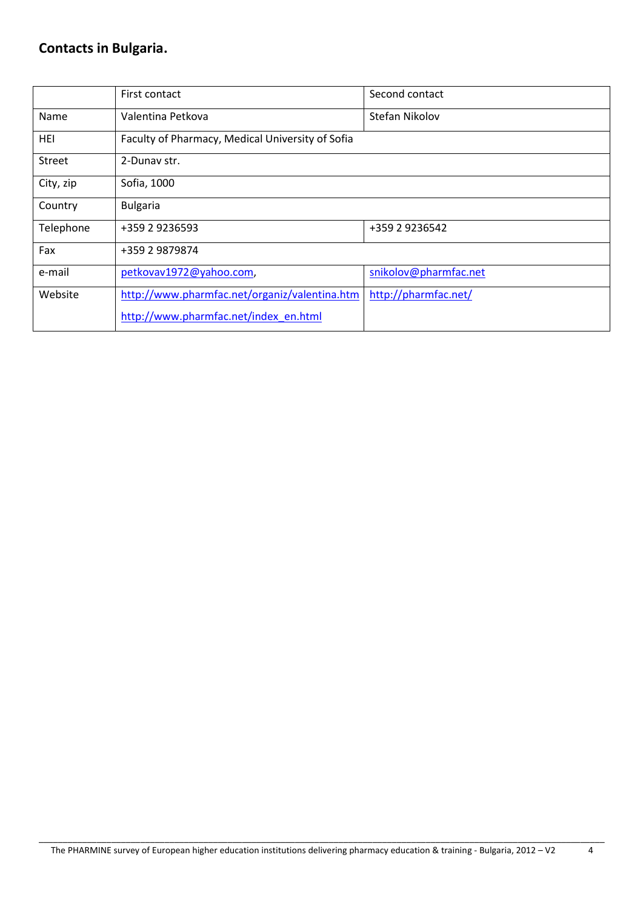# **Contacts in Bulgaria.**

|           | First contact                                    | Second contact        |  |  |
|-----------|--------------------------------------------------|-----------------------|--|--|
| Name      | Valentina Petkova<br>Stefan Nikolov              |                       |  |  |
| HEI       | Faculty of Pharmacy, Medical University of Sofia |                       |  |  |
| Street    | 2-Dunav str.                                     |                       |  |  |
| City, zip | Sofia, 1000                                      |                       |  |  |
| Country   | <b>Bulgaria</b>                                  |                       |  |  |
| Telephone | +359 2 9236593                                   | +359 2 9236542        |  |  |
| Fax       | +359 2 9879874                                   |                       |  |  |
| e-mail    | petkovav1972@yahoo.com,                          | snikolov@pharmfac.net |  |  |
| Website   | http://www.pharmfac.net/organiz/valentina.htm    | http://pharmfac.net/  |  |  |
|           | http://www.pharmfac.net/index_en.html            |                       |  |  |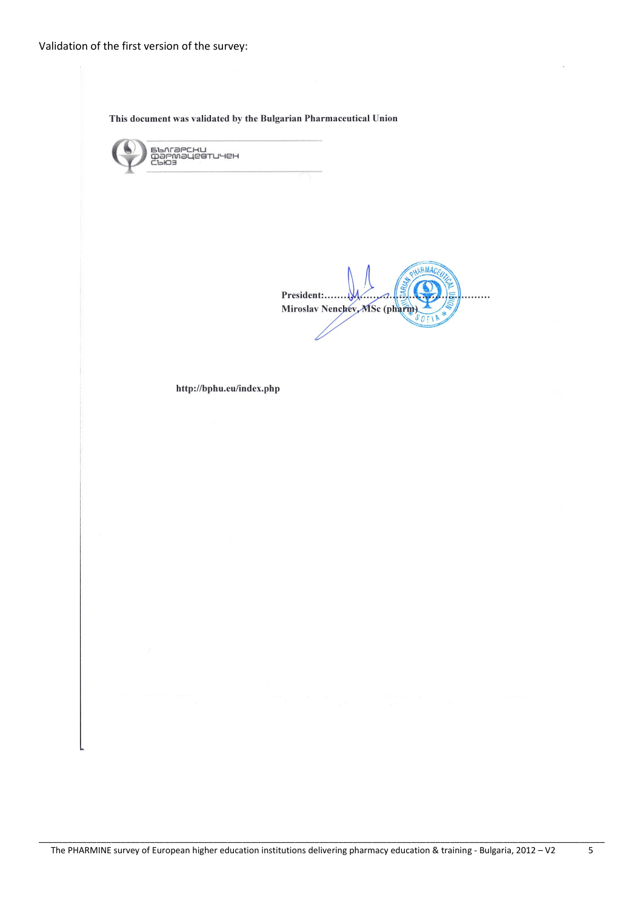This document was validated by the Bulgarian Pharmaceutical Union

БЪЛГӘРСКИ<br>ФӘРМӘЦевтичен<br>СЪЮЗ ARMA President:........  $\cdots$ Miroslav Nenchev, MSc (pharm). http://bphu.eu/index.php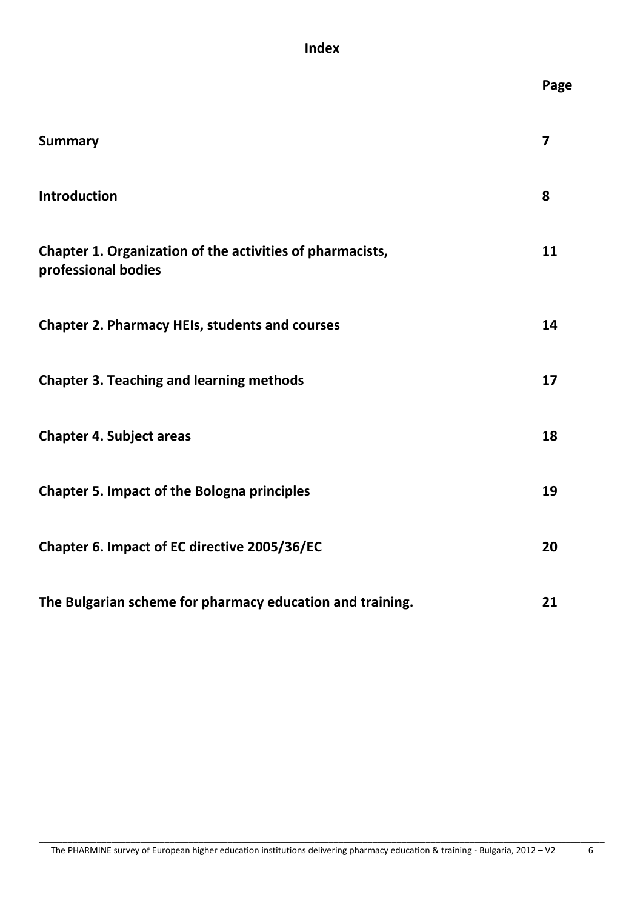## **Index**

|                                                                                  | Page                    |
|----------------------------------------------------------------------------------|-------------------------|
| <b>Summary</b>                                                                   | $\overline{\mathbf{z}}$ |
| <b>Introduction</b>                                                              | 8                       |
| Chapter 1. Organization of the activities of pharmacists,<br>professional bodies | 11                      |
| <b>Chapter 2. Pharmacy HEIs, students and courses</b>                            | 14                      |
| <b>Chapter 3. Teaching and learning methods</b>                                  | 17                      |
| <b>Chapter 4. Subject areas</b>                                                  | 18                      |
| <b>Chapter 5. Impact of the Bologna principles</b>                               | 19                      |
| Chapter 6. Impact of EC directive 2005/36/EC                                     | 20                      |
| The Bulgarian scheme for pharmacy education and training.                        | 21                      |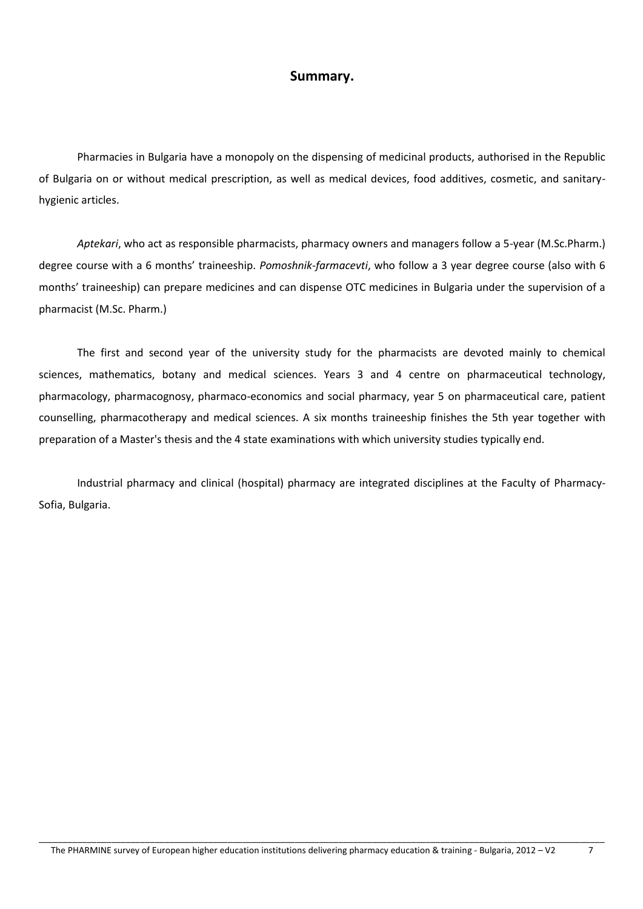### **Summary.**

Pharmacies in Bulgaria have a monopoly on the dispensing of medicinal products, authorised in the Republic of Bulgaria on or without medical prescription, as well as medical devices, food additives, cosmetic, and sanitaryhygienic articles.

*Aptekari*, who act as responsible pharmacists, pharmacy owners and managers follow a 5-year (M.Sc.Pharm.) degree course with a 6 months' traineeship. *Pomoshnik-farmacevti*, who follow a 3 year degree course (also with 6 months' traineeship) can prepare medicines and can dispense OTC medicines in Bulgaria under the supervision of a pharmacist (M.Sc. Pharm.)

The first and second year of the university study for the pharmacists are devoted mainly to chemical sciences, mathematics, botany and medical sciences. Years 3 and 4 centre on pharmaceutical technology, pharmacology, pharmacognosy, pharmaco-economics and social pharmacy, year 5 on pharmaceutical care, patient counselling, pharmacotherapy and medical sciences. A six months traineeship finishes the 5th year together with preparation of a Master's thesis and the 4 state examinations with which university studies typically end.

Industrial pharmacy and clinical (hospital) pharmacy are integrated disciplines at the Faculty of Pharmacy-Sofia, Bulgaria.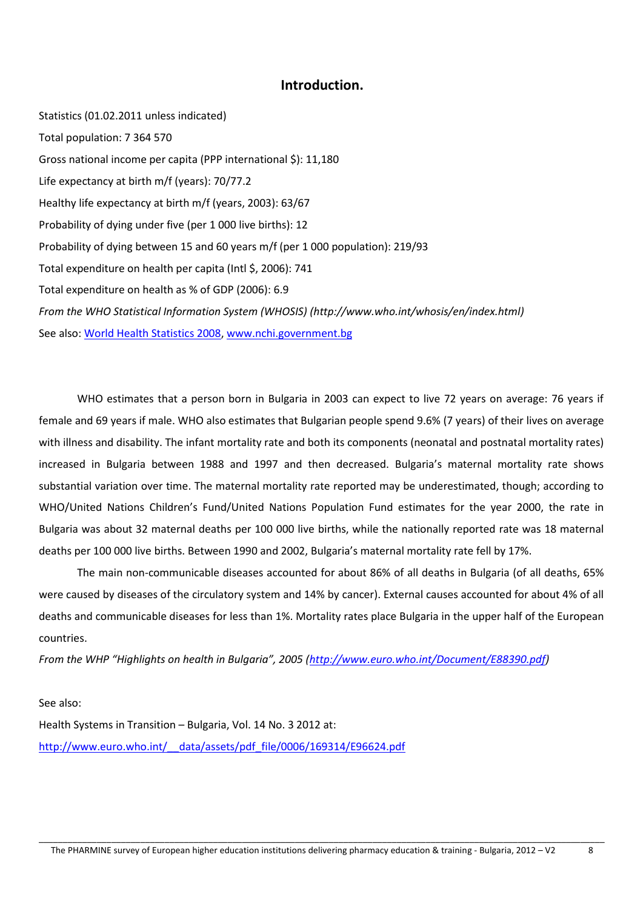### **Introduction.**

Statistics (01.02.2011 unless indicated) Total population: 7 364 570 Gross national income per capita (PPP international \$): 11,180 Life expectancy at birth m/f (years): 70/77.2 Healthy life expectancy at birth m/f (years, 2003): 63/67 Probability of dying under five (per 1 000 live births): 12 Probability of dying between 15 and 60 years m/f (per 1 000 population): 219/93 Total expenditure on health per capita (Intl \$, 2006): 741 Total expenditure on health as % of GDP (2006): 6.9 *From the WHO Statistical Information System (WHOSIS) [\(http://www.who.int/whosis/en/index.html\)](http://www.who.int/whosis/en/index.html)*  See also: [World Health Statistics 2008,](http://www.who.int/whosis/en/index.html) [www.nchi.government.bg](http://www.nchi.government.bg/)

WHO estimates that a person born in Bulgaria in 2003 can expect to live 72 years on average: 76 years if female and 69 years if male. WHO also estimates that Bulgarian people spend 9.6% (7 years) of their lives on average with illness and disability. The infant mortality rate and both its components (neonatal and postnatal mortality rates) increased in Bulgaria between 1988 and 1997 and then decreased. Bulgaria's maternal mortality rate shows substantial variation over time. The maternal mortality rate reported may be underestimated, though; according to WHO/United Nations Children's Fund/United Nations Population Fund estimates for the year 2000, the rate in Bulgaria was about 32 maternal deaths per 100 000 live births, while the nationally reported rate was 18 maternal deaths per 100 000 live births. Between 1990 and 2002, Bulgaria's maternal mortality rate fell by 17%.

The main non-communicable diseases accounted for about 86% of all deaths in Bulgaria (of all deaths, 65% were caused by diseases of the circulatory system and 14% by cancer). External causes accounted for about 4% of all deaths and communicable diseases for less than 1%. Mortality rates place Bulgaria in the upper half of the European countries.

*From the WHP "Highlights on health in Bulgaria", 2005 ([http://www.euro.who.int/Document/E88390.pdf\)](http://www.euro.who.int/Document/E88390.pdf)* 

See also:

Health Systems in Transition – Bulgaria, Vol. 14 No. 3 2012 at: [http://www.euro.who.int/\\_\\_data/assets/pdf\\_file/0006/169314/E96624.pdf](http://www.euro.who.int/__data/assets/pdf_file/0006/169314/E96624.pdf)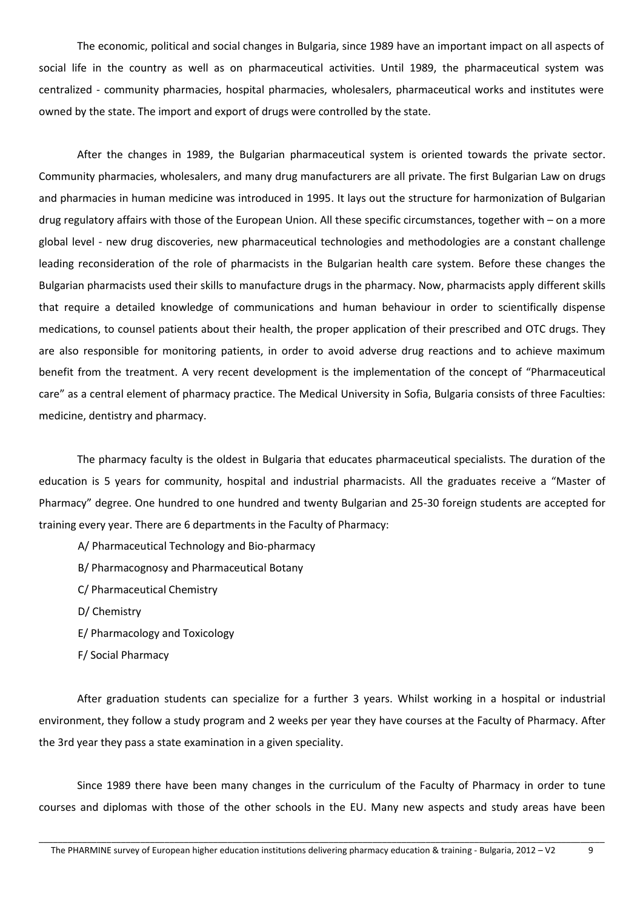The economic, political and social changes in Bulgaria, since 1989 have an important impact on all aspects of social life in the country as well as on pharmaceutical activities. Until 1989, the pharmaceutical system was centralized - community pharmacies, hospital pharmacies, wholesalers, pharmaceutical works and institutes were owned by the state. The import and export of drugs were controlled by the state.

After the changes in 1989, the Bulgarian pharmaceutical system is oriented towards the private sector. Community pharmacies, wholesalers, and many drug manufacturers are all private. The first Bulgarian Law on drugs and pharmacies in human medicine was introduced in 1995. It lays out the structure for harmonization of Bulgarian drug regulatory affairs with those of the European Union. All these specific circumstances, together with – on a more global level - new drug discoveries, new pharmaceutical technologies and methodologies are a constant challenge leading reconsideration of the role of pharmacists in the Bulgarian health care system. Before these changes the Bulgarian pharmacists used their skills to manufacture drugs in the pharmacy. Now, pharmacists apply different skills that require a detailed knowledge of communications and human behaviour in order to scientifically dispense medications, to counsel patients about their health, the proper application of their prescribed and OTC drugs. They are also responsible for monitoring patients, in order to avoid adverse drug reactions and to achieve maximum benefit from the treatment. A very recent development is the implementation of the concept of "Pharmaceutical care" as a central element of pharmacy practice. The Medical University in Sofia, Bulgaria consists of three Faculties: medicine, dentistry and pharmacy.

The pharmacy faculty is the oldest in Bulgaria that educates pharmaceutical specialists. The duration of the education is 5 years for community, hospital and industrial pharmacists. All the graduates receive a "Master of Pharmacy" degree. One hundred to one hundred and twenty Bulgarian and 25-30 foreign students are accepted for training every year. There are 6 departments in the Faculty of Pharmacy:

- A/ Pharmaceutical Technology and Bio-pharmacy
- B/ Pharmacognosy and Pharmaceutical Botany
- C/ Pharmaceutical Chemistry
- D/ Chemistry
- E/ Pharmacology and Toxicology
- F/ Social Pharmacy

After graduation students can specialize for a further 3 years. Whilst working in a hospital or industrial environment, they follow a study program and 2 weeks per year they have courses at the Faculty of Pharmacy. After the 3rd year they pass a state examination in a given speciality.

Since 1989 there have been many changes in the curriculum of the Faculty of Pharmacy in order to tune courses and diplomas with those of the other schools in the EU. Many new aspects and study areas have been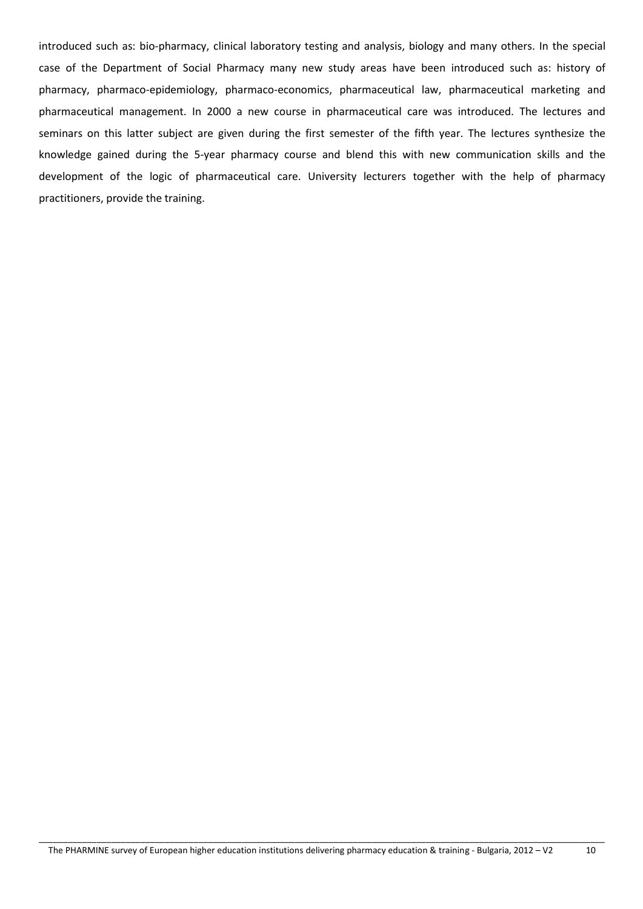introduced such as: bio-pharmacy, clinical laboratory testing and analysis, biology and many others. In the special case of the Department of Social Pharmacy many new study areas have been introduced such as: history of pharmacy, pharmaco-epidemiology, pharmaco-economics, pharmaceutical law, pharmaceutical marketing and pharmaceutical management. In 2000 a new course in pharmaceutical care was introduced. The lectures and seminars on this latter subject are given during the first semester of the fifth year. The lectures synthesize the knowledge gained during the 5-year pharmacy course and blend this with new communication skills and the development of the logic of pharmaceutical care. University lecturers together with the help of pharmacy practitioners, provide the training.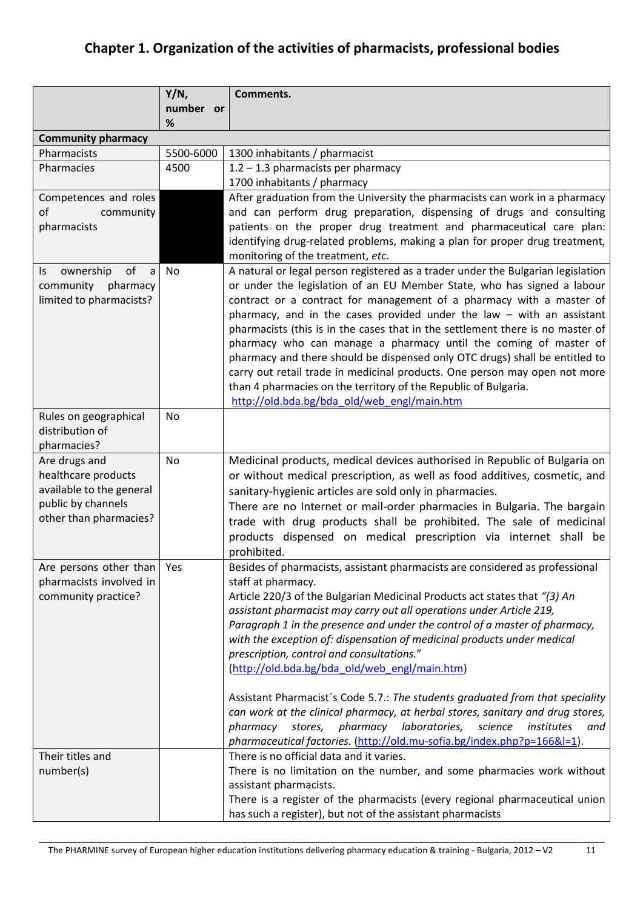# **Chapter 1. Organization of the activities of pharmacists, professional bodies**

|                                                     | Y/N,           | Comments.                                                                                                                                                   |  |  |
|-----------------------------------------------------|----------------|-------------------------------------------------------------------------------------------------------------------------------------------------------------|--|--|
|                                                     | number or<br>% |                                                                                                                                                             |  |  |
| <b>Community pharmacy</b>                           |                |                                                                                                                                                             |  |  |
| Pharmacists                                         | 5500-6000      | 1300 inhabitants / pharmacist                                                                                                                               |  |  |
| Pharmacies                                          | 4500           | 1.2 - 1.3 pharmacists per pharmacy                                                                                                                          |  |  |
|                                                     |                | 1700 inhabitants / pharmacy                                                                                                                                 |  |  |
| Competences and roles                               |                | After graduation from the University the pharmacists can work in a pharmacy                                                                                 |  |  |
| of<br>community                                     |                | and can perform drug preparation, dispensing of drugs and consulting                                                                                        |  |  |
| pharmacists                                         |                | patients on the proper drug treatment and pharmaceutical care plan:                                                                                         |  |  |
|                                                     |                | identifying drug-related problems, making a plan for proper drug treatment,                                                                                 |  |  |
|                                                     |                | monitoring of the treatment, etc.                                                                                                                           |  |  |
| ownership<br>of<br>ls<br>a<br>community<br>pharmacy | No             | A natural or legal person registered as a trader under the Bulgarian legislation<br>or under the legislation of an EU Member State, who has signed a labour |  |  |
| limited to pharmacists?                             |                | contract or a contract for management of a pharmacy with a master of                                                                                        |  |  |
|                                                     |                | pharmacy, and in the cases provided under the law $-$ with an assistant                                                                                     |  |  |
|                                                     |                | pharmacists (this is in the cases that in the settlement there is no master of                                                                              |  |  |
|                                                     |                | pharmacy who can manage a pharmacy until the coming of master of                                                                                            |  |  |
|                                                     |                | pharmacy and there should be dispensed only OTC drugs) shall be entitled to                                                                                 |  |  |
|                                                     |                | carry out retail trade in medicinal products. One person may open not more                                                                                  |  |  |
|                                                     |                | than 4 pharmacies on the territory of the Republic of Bulgaria.                                                                                             |  |  |
|                                                     |                | http://old.bda.bg/bda_old/web_engl/main.htm                                                                                                                 |  |  |
| Rules on geographical                               | No             |                                                                                                                                                             |  |  |
| distribution of                                     |                |                                                                                                                                                             |  |  |
| pharmacies?                                         |                |                                                                                                                                                             |  |  |
| Are drugs and<br>healthcare products                | No             | Medicinal products, medical devices authorised in Republic of Bulgaria on                                                                                   |  |  |
| available to the general                            |                | or without medical prescription, as well as food additives, cosmetic, and<br>sanitary-hygienic articles are sold only in pharmacies.                        |  |  |
| public by channels                                  |                | There are no Internet or mail-order pharmacies in Bulgaria. The bargain                                                                                     |  |  |
| other than pharmacies?                              |                | trade with drug products shall be prohibited. The sale of medicinal                                                                                         |  |  |
|                                                     |                | products dispensed on medical prescription via internet shall be                                                                                            |  |  |
|                                                     |                | prohibited.                                                                                                                                                 |  |  |
| Are persons other than                              | Yes            | Besides of pharmacists, assistant pharmacists are considered as professional                                                                                |  |  |
| pharmacists involved in                             |                | staff at pharmacy.                                                                                                                                          |  |  |
| community practice?                                 |                | Article 220/3 of the Bulgarian Medicinal Products act states that "(3) An                                                                                   |  |  |
|                                                     |                | assistant pharmacist may carry out all operations under Article 219,                                                                                        |  |  |
|                                                     |                | Paragraph 1 in the presence and under the control of a master of pharmacy,                                                                                  |  |  |
|                                                     |                | with the exception of: dispensation of medicinal products under medical                                                                                     |  |  |
|                                                     |                | prescription, control and consultations."                                                                                                                   |  |  |
|                                                     |                | (http://old.bda.bg/bda_old/web_engl/main.htm)                                                                                                               |  |  |
|                                                     |                | Assistant Pharmacist's Code 5.7.: The students graduated from that speciality                                                                               |  |  |
|                                                     |                | can work at the clinical pharmacy, at herbal stores, sanitary and drug stores,                                                                              |  |  |
|                                                     |                | stores, pharmacy<br>laboratories,<br>science<br>pharmacy<br>institutes<br>and                                                                               |  |  |
|                                                     |                | pharmaceutical factories. (http://old.mu-sofia.bg/index.php?p=166&l=1).                                                                                     |  |  |
| Their titles and                                    |                | There is no official data and it varies.                                                                                                                    |  |  |
| number(s)                                           |                | There is no limitation on the number, and some pharmacies work without                                                                                      |  |  |
|                                                     |                | assistant pharmacists.                                                                                                                                      |  |  |
|                                                     |                | There is a register of the pharmacists (every regional pharmaceutical union                                                                                 |  |  |
|                                                     |                | has such a register), but not of the assistant pharmacists                                                                                                  |  |  |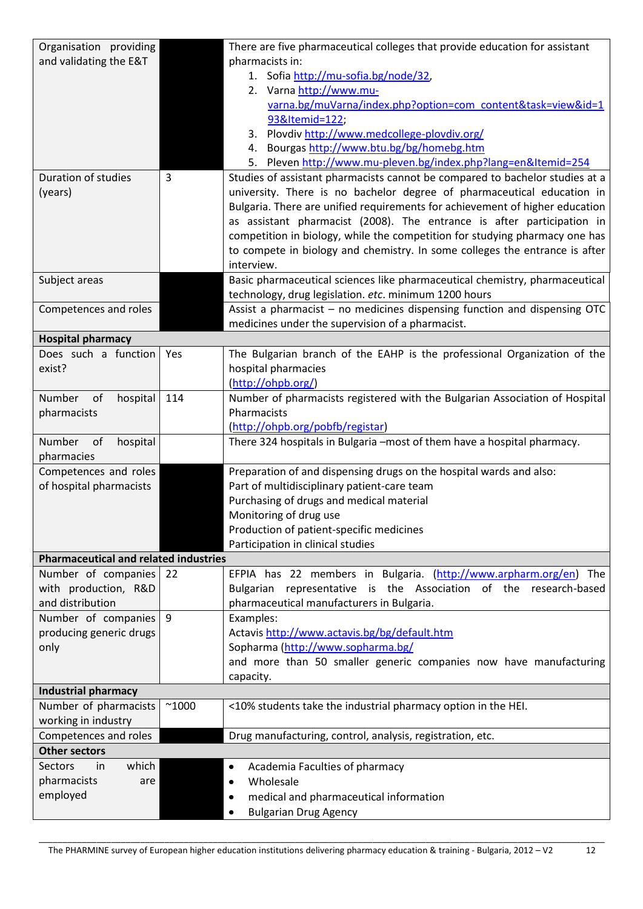| Organisation providing                           |                | There are five pharmaceutical colleges that provide education for assistant                     |  |  |  |
|--------------------------------------------------|----------------|-------------------------------------------------------------------------------------------------|--|--|--|
| and validating the E&T                           |                | pharmacists in:                                                                                 |  |  |  |
|                                                  |                | 1. Sofia http://mu-sofia.bg/node/32,                                                            |  |  |  |
|                                                  |                | 2. Varna http://www.mu-                                                                         |  |  |  |
|                                                  |                | varna.bg/muVarna/index.php?option=com content&task=view&id=1                                    |  |  |  |
|                                                  |                | 93&Itemid=122;                                                                                  |  |  |  |
|                                                  |                | 3. Plovdiv http://www.medcollege-plovdiv.org/                                                   |  |  |  |
|                                                  |                | Bourgas http://www.btu.bg/bg/homebg.htm<br>4.                                                   |  |  |  |
|                                                  |                | 5. Pleven http://www.mu-pleven.bg/index.php?lang=en&Itemid=254                                  |  |  |  |
| Duration of studies                              | 3              | Studies of assistant pharmacists cannot be compared to bachelor studies at a                    |  |  |  |
| (years)                                          |                | university. There is no bachelor degree of pharmaceutical education in                          |  |  |  |
|                                                  |                | Bulgaria. There are unified requirements for achievement of higher education                    |  |  |  |
|                                                  |                | as assistant pharmacist (2008). The entrance is after participation in                          |  |  |  |
|                                                  |                | competition in biology, while the competition for studying pharmacy one has                     |  |  |  |
|                                                  |                | to compete in biology and chemistry. In some colleges the entrance is after                     |  |  |  |
|                                                  |                | interview.                                                                                      |  |  |  |
| Subject areas                                    |                | Basic pharmaceutical sciences like pharmaceutical chemistry, pharmaceutical                     |  |  |  |
|                                                  |                | technology, drug legislation. etc. minimum 1200 hours                                           |  |  |  |
| Competences and roles                            |                | Assist a pharmacist - no medicines dispensing function and dispensing OTC                       |  |  |  |
|                                                  |                | medicines under the supervision of a pharmacist.                                                |  |  |  |
| <b>Hospital pharmacy</b><br>Does such a function |                |                                                                                                 |  |  |  |
| exist?                                           | Yes            | The Bulgarian branch of the EAHP is the professional Organization of the<br>hospital pharmacies |  |  |  |
|                                                  |                | (http://ohpb.org/)                                                                              |  |  |  |
| Number<br>of<br>hospital                         | 114            | Number of pharmacists registered with the Bulgarian Association of Hospital                     |  |  |  |
| pharmacists                                      |                | Pharmacists                                                                                     |  |  |  |
|                                                  |                | (http://ohpb.org/pobfb/registar)                                                                |  |  |  |
| Number<br>of<br>hospital                         |                | There 324 hospitals in Bulgaria -most of them have a hospital pharmacy.                         |  |  |  |
| pharmacies                                       |                |                                                                                                 |  |  |  |
| Competences and roles                            |                | Preparation of and dispensing drugs on the hospital wards and also:                             |  |  |  |
| of hospital pharmacists                          |                | Part of multidisciplinary patient-care team                                                     |  |  |  |
|                                                  |                | Purchasing of drugs and medical material                                                        |  |  |  |
|                                                  |                | Monitoring of drug use                                                                          |  |  |  |
|                                                  |                | Production of patient-specific medicines                                                        |  |  |  |
|                                                  |                | Participation in clinical studies                                                               |  |  |  |
| <b>Pharmaceutical and related industries</b>     |                |                                                                                                 |  |  |  |
| Number of companies                              | 22             | EFPIA has 22 members in Bulgaria. (http://www.arpharm.org/en) The                               |  |  |  |
| with production, R&D                             |                | representative is the Association of the research-based<br><b>Bulgarian</b>                     |  |  |  |
| and distribution                                 |                | pharmaceutical manufacturers in Bulgaria.                                                       |  |  |  |
| Number of companies 9                            |                | Examples:                                                                                       |  |  |  |
| producing generic drugs                          |                | Actavis http://www.actavis.bg/bg/default.htm                                                    |  |  |  |
| only                                             |                | Sopharma (http://www.sopharma.bg/                                                               |  |  |  |
|                                                  |                | and more than 50 smaller generic companies now have manufacturing                               |  |  |  |
|                                                  |                | capacity.                                                                                       |  |  |  |
| <b>Industrial pharmacy</b>                       |                |                                                                                                 |  |  |  |
| Number of pharmacists                            | $^{\sim}$ 1000 | <10% students take the industrial pharmacy option in the HEI.                                   |  |  |  |
| working in industry                              |                |                                                                                                 |  |  |  |
| Competences and roles                            |                | Drug manufacturing, control, analysis, registration, etc.                                       |  |  |  |
| <b>Other sectors</b>                             |                |                                                                                                 |  |  |  |
| which<br><b>Sectors</b><br>in                    |                | Academia Faculties of pharmacy                                                                  |  |  |  |
| pharmacists<br>are                               |                | Wholesale<br>٠                                                                                  |  |  |  |
| employed                                         |                | medical and pharmaceutical information                                                          |  |  |  |
|                                                  |                | <b>Bulgarian Drug Agency</b>                                                                    |  |  |  |

The PHARMINE survey of European higher education institutions delivering pharmacy education & training - Bulgaria, 2012 – V2 12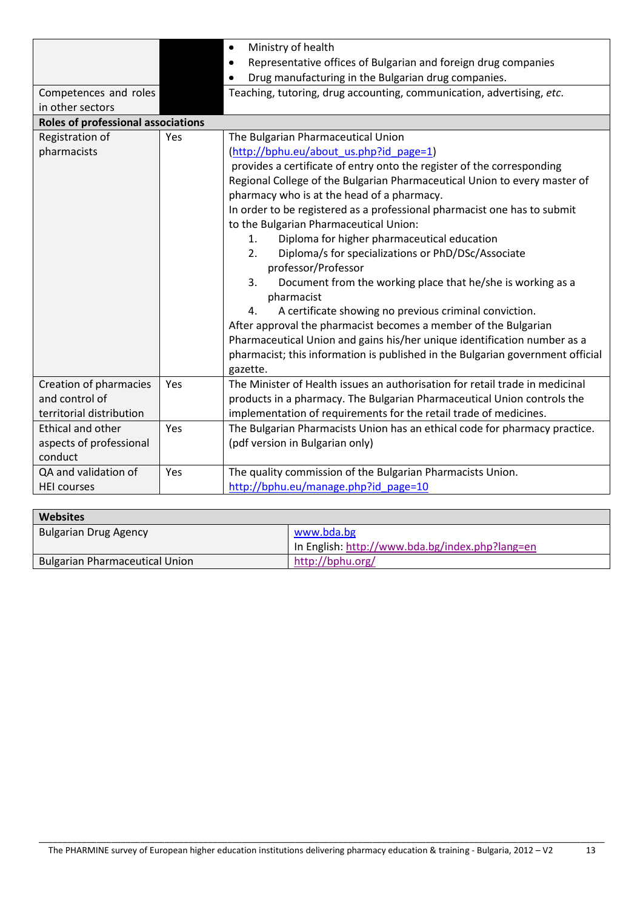|                                    |     | Ministry of health                                                             |  |  |  |
|------------------------------------|-----|--------------------------------------------------------------------------------|--|--|--|
|                                    |     | Representative offices of Bulgarian and foreign drug companies                 |  |  |  |
|                                    |     | Drug manufacturing in the Bulgarian drug companies.                            |  |  |  |
| Competences and roles              |     | Teaching, tutoring, drug accounting, communication, advertising, etc.          |  |  |  |
| in other sectors                   |     |                                                                                |  |  |  |
| Roles of professional associations |     |                                                                                |  |  |  |
| Registration of                    | Yes | The Bulgarian Pharmaceutical Union                                             |  |  |  |
| pharmacists                        |     | (http://bphu.eu/about us.php?id page=1)                                        |  |  |  |
|                                    |     | provides a certificate of entry onto the register of the corresponding         |  |  |  |
|                                    |     | Regional College of the Bulgarian Pharmaceutical Union to every master of      |  |  |  |
|                                    |     | pharmacy who is at the head of a pharmacy.                                     |  |  |  |
|                                    |     | In order to be registered as a professional pharmacist one has to submit       |  |  |  |
|                                    |     | to the Bulgarian Pharmaceutical Union:                                         |  |  |  |
|                                    |     | Diploma for higher pharmaceutical education<br>1.                              |  |  |  |
|                                    |     | Diploma/s for specializations or PhD/DSc/Associate<br>2.                       |  |  |  |
|                                    |     | professor/Professor                                                            |  |  |  |
|                                    |     | 3.<br>Document from the working place that he/she is working as a              |  |  |  |
|                                    |     | pharmacist                                                                     |  |  |  |
|                                    |     | A certificate showing no previous criminal conviction.<br>4.                   |  |  |  |
|                                    |     | After approval the pharmacist becomes a member of the Bulgarian                |  |  |  |
|                                    |     | Pharmaceutical Union and gains his/her unique identification number as a       |  |  |  |
|                                    |     | pharmacist; this information is published in the Bulgarian government official |  |  |  |
|                                    |     | gazette.                                                                       |  |  |  |
| Creation of pharmacies             | Yes | The Minister of Health issues an authorisation for retail trade in medicinal   |  |  |  |
| and control of                     |     | products in a pharmacy. The Bulgarian Pharmaceutical Union controls the        |  |  |  |
| territorial distribution           |     | implementation of requirements for the retail trade of medicines.              |  |  |  |
| Ethical and other                  | Yes | The Bulgarian Pharmacists Union has an ethical code for pharmacy practice.     |  |  |  |
| aspects of professional            |     | (pdf version in Bulgarian only)                                                |  |  |  |
| conduct                            |     |                                                                                |  |  |  |
| QA and validation of               | Yes | The quality commission of the Bulgarian Pharmacists Union.                     |  |  |  |
| <b>HEI courses</b>                 |     | http://bphu.eu/manage.php?id page=10                                           |  |  |  |

| <b>Websites</b>                       |                                                 |
|---------------------------------------|-------------------------------------------------|
| <b>Bulgarian Drug Agency</b>          | www.bda.bg                                      |
|                                       | In English: http://www.bda.bg/index.php?lang=en |
| <b>Bulgarian Pharmaceutical Union</b> | http://bphu.org/                                |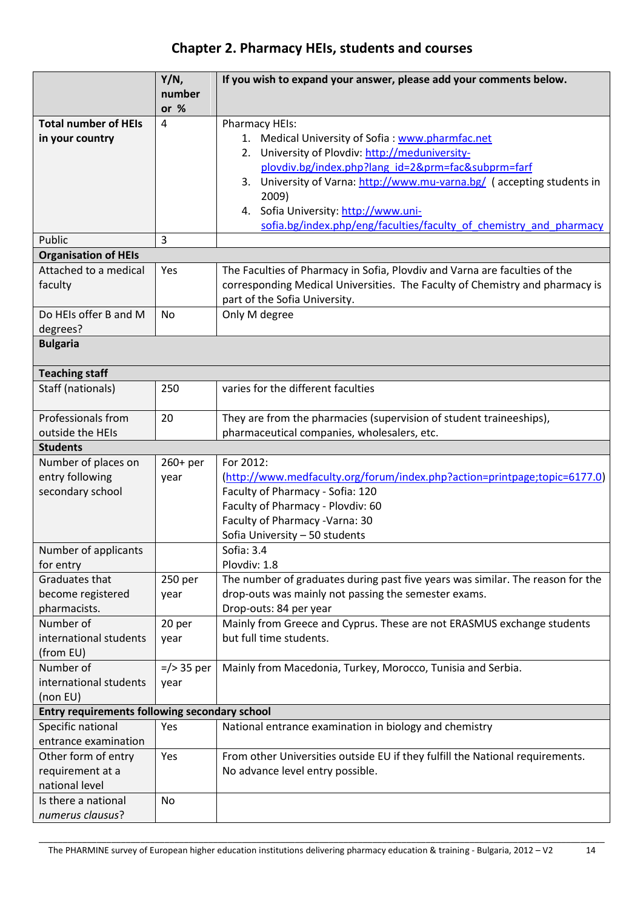# **Chapter 2. Pharmacy HEIs, students and courses**

|                                               | Y/N,             | If you wish to expand your answer, please add your comments below.             |
|-----------------------------------------------|------------------|--------------------------------------------------------------------------------|
|                                               | number<br>or $%$ |                                                                                |
| <b>Total number of HEIs</b>                   | 4                | Pharmacy HEIs:                                                                 |
| in your country                               |                  | 1. Medical University of Sofia: www.pharmfac.net                               |
|                                               |                  | 2. University of Plovdiv: http://meduniversity-                                |
|                                               |                  | plovdiv.bg/index.php?lang_id=2&prm=fac&subprm=farf                             |
|                                               |                  | University of Varna: http://www.mu-varna.bg/ (accepting students in<br>3.      |
|                                               |                  | 2009)                                                                          |
|                                               |                  | 4. Sofia University: http://www.uni-                                           |
|                                               |                  | sofia.bg/index.php/eng/faculties/faculty of chemistry and pharmacy             |
| Public                                        | 3                |                                                                                |
| <b>Organisation of HEIs</b>                   |                  |                                                                                |
| Attached to a medical                         | Yes              | The Faculties of Pharmacy in Sofia, Plovdiv and Varna are faculties of the     |
| faculty                                       |                  | corresponding Medical Universities. The Faculty of Chemistry and pharmacy is   |
|                                               |                  | part of the Sofia University.                                                  |
| Do HEIs offer B and M                         | <b>No</b>        | Only M degree                                                                  |
| degrees?<br><b>Bulgaria</b>                   |                  |                                                                                |
|                                               |                  |                                                                                |
| <b>Teaching staff</b>                         |                  |                                                                                |
| Staff (nationals)                             | 250              | varies for the different faculties                                             |
| Professionals from                            | 20               | They are from the pharmacies (supervision of student traineeships),            |
| outside the HEIs                              |                  | pharmaceutical companies, wholesalers, etc.                                    |
| <b>Students</b>                               |                  |                                                                                |
| Number of places on                           | 260+ per         | For 2012:                                                                      |
| entry following                               | year             | (http://www.medfaculty.org/forum/index.php?action=printpage;topic=6177.0)      |
| secondary school                              |                  | Faculty of Pharmacy - Sofia: 120                                               |
|                                               |                  | Faculty of Pharmacy - Plovdiv: 60                                              |
|                                               |                  | Faculty of Pharmacy - Varna: 30                                                |
|                                               |                  | Sofia University - 50 students                                                 |
| Number of applicants                          |                  | Sofia: 3.4                                                                     |
| for entry                                     |                  | Plovdiv: 1.8                                                                   |
| Graduates that                                | 250 per          | The number of graduates during past five years was similar. The reason for the |
| become registered                             | year             | drop-outs was mainly not passing the semester exams.                           |
| pharmacists.                                  |                  | Drop-outs: 84 per year                                                         |
| Number of                                     | 20 per           | Mainly from Greece and Cyprus. These are not ERASMUS exchange students         |
| international students                        | year             | but full time students.                                                        |
| (from EU)                                     |                  |                                                                                |
| Number of                                     | $=$ /> 35 per    | Mainly from Macedonia, Turkey, Morocco, Tunisia and Serbia.                    |
| international students                        | year             |                                                                                |
| (non EU)                                      |                  |                                                                                |
| Entry requirements following secondary school |                  |                                                                                |
| Specific national                             | Yes              | National entrance examination in biology and chemistry                         |
| entrance examination                          |                  |                                                                                |
| Other form of entry                           | Yes              | From other Universities outside EU if they fulfill the National requirements.  |
| requirement at a                              |                  | No advance level entry possible.                                               |
| national level                                |                  |                                                                                |
| Is there a national                           | No               |                                                                                |
| numerus clausus?                              |                  |                                                                                |

The PHARMINE survey of European higher education institutions delivering pharmacy education & training - Bulgaria, 2012 – V2 14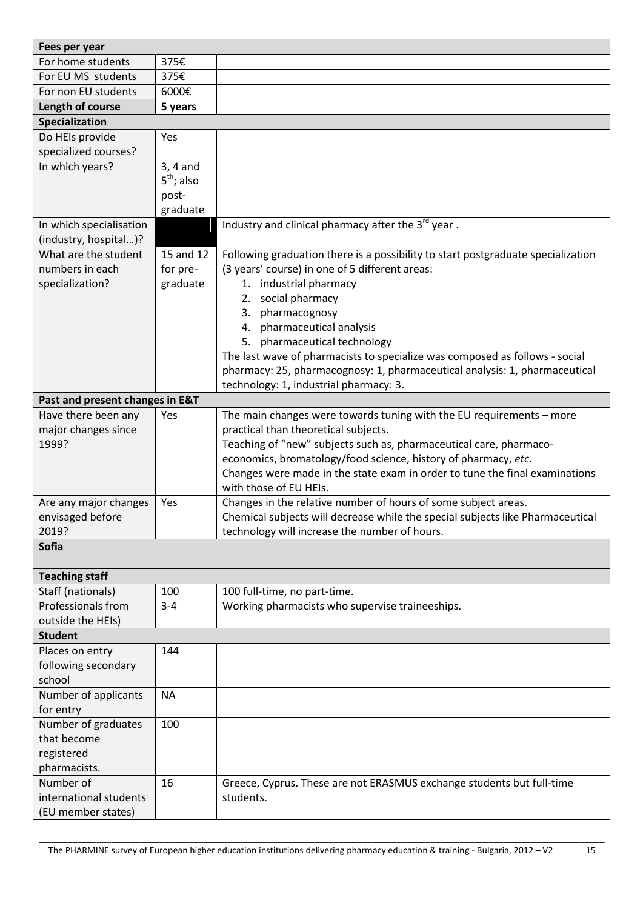| Fees per year                   |              |                                                                                  |
|---------------------------------|--------------|----------------------------------------------------------------------------------|
| For home students               | 375€         |                                                                                  |
| For EU MS students              | 375€         |                                                                                  |
| For non EU students             | 6000€        |                                                                                  |
| Length of course                | 5 years      |                                                                                  |
| Specialization                  |              |                                                                                  |
| Do HEIs provide                 | Yes          |                                                                                  |
| specialized courses?            |              |                                                                                  |
| In which years?                 | $3, 4$ and   |                                                                                  |
|                                 | $5th$ ; also |                                                                                  |
|                                 | post-        |                                                                                  |
|                                 | graduate     |                                                                                  |
| In which specialisation         |              | Industry and clinical pharmacy after the 3 <sup>rd</sup> year.                   |
| (industry, hospital)?           |              |                                                                                  |
| What are the student            | 15 and 12    | Following graduation there is a possibility to start postgraduate specialization |
| numbers in each                 | for pre-     | (3 years' course) in one of 5 different areas:                                   |
| specialization?                 | graduate     | 1. industrial pharmacy                                                           |
|                                 |              | social pharmacy<br>2.                                                            |
|                                 |              | pharmacognosy<br>3.                                                              |
|                                 |              | 4. pharmaceutical analysis                                                       |
|                                 |              | 5. pharmaceutical technology                                                     |
|                                 |              | The last wave of pharmacists to specialize was composed as follows - social      |
|                                 |              | pharmacy: 25, pharmacognosy: 1, pharmaceutical analysis: 1, pharmaceutical       |
|                                 |              | technology: 1, industrial pharmacy: 3.                                           |
| Past and present changes in E&T |              |                                                                                  |
| Have there been any             | Yes          | The main changes were towards tuning with the EU requirements - more             |
| major changes since             |              | practical than theoretical subjects.                                             |
| 1999?                           |              | Teaching of "new" subjects such as, pharmaceutical care, pharmaco-               |
|                                 |              | economics, bromatology/food science, history of pharmacy, etc.                   |
|                                 |              | Changes were made in the state exam in order to tune the final examinations      |
|                                 |              | with those of EU HEIs.                                                           |
| Are any major changes           | Yes          | Changes in the relative number of hours of some subject areas.                   |
| envisaged before                |              | Chemical subjects will decrease while the special subjects like Pharmaceutical   |
| 2019?<br><b>Sofia</b>           |              | technology will increase the number of hours.                                    |
|                                 |              |                                                                                  |
| <b>Teaching staff</b>           |              |                                                                                  |
| Staff (nationals)               | 100          | 100 full-time, no part-time.                                                     |
| Professionals from              | $3 - 4$      | Working pharmacists who supervise traineeships.                                  |
| outside the HEIs)               |              |                                                                                  |
| <b>Student</b>                  |              |                                                                                  |
| Places on entry                 | 144          |                                                                                  |
| following secondary             |              |                                                                                  |
| school                          |              |                                                                                  |
| Number of applicants            | <b>NA</b>    |                                                                                  |
| for entry                       |              |                                                                                  |
| Number of graduates             | 100          |                                                                                  |
| that become                     |              |                                                                                  |
| registered                      |              |                                                                                  |
| pharmacists.                    |              |                                                                                  |
| Number of                       | 16           | Greece, Cyprus. These are not ERASMUS exchange students but full-time            |
| international students          |              | students.                                                                        |
| (EU member states)              |              |                                                                                  |
|                                 |              |                                                                                  |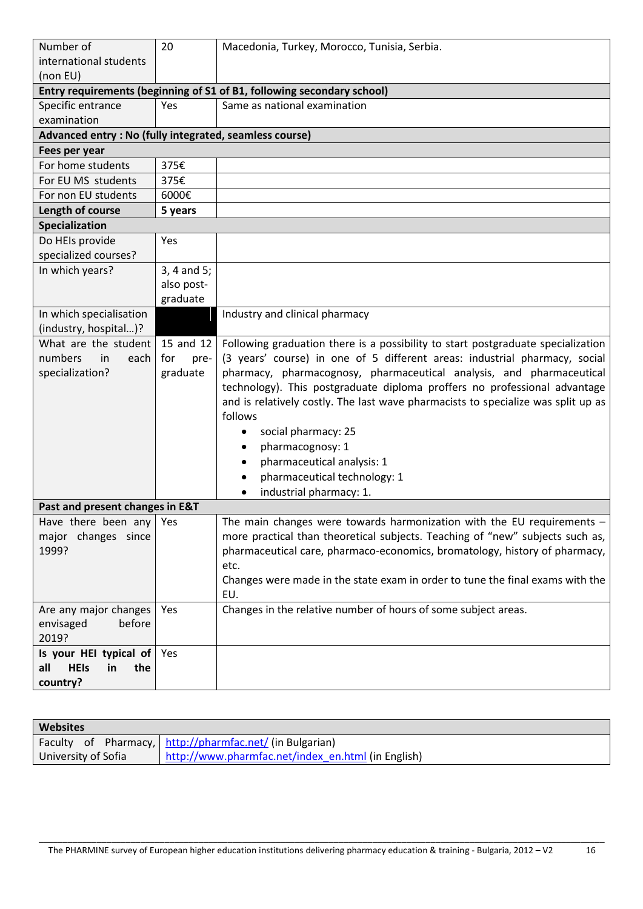| Number of<br>international students<br>(non EU)         | 20              | Macedonia, Turkey, Morocco, Tunisia, Serbia.                                                                                                      |
|---------------------------------------------------------|-----------------|---------------------------------------------------------------------------------------------------------------------------------------------------|
|                                                         |                 | Entry requirements (beginning of S1 of B1, following secondary school)                                                                            |
| Specific entrance                                       | Yes             | Same as national examination                                                                                                                      |
| examination                                             |                 |                                                                                                                                                   |
| Advanced entry : No (fully integrated, seamless course) |                 |                                                                                                                                                   |
| Fees per year                                           |                 |                                                                                                                                                   |
| For home students                                       | 375€            |                                                                                                                                                   |
| For EU MS students                                      | 375€            |                                                                                                                                                   |
| For non EU students                                     | 6000€           |                                                                                                                                                   |
| Length of course                                        | 5 years         |                                                                                                                                                   |
| Specialization                                          |                 |                                                                                                                                                   |
| Do HEIs provide                                         | Yes             |                                                                                                                                                   |
| specialized courses?                                    |                 |                                                                                                                                                   |
| In which years?                                         | $3, 4$ and $5;$ |                                                                                                                                                   |
|                                                         | also post-      |                                                                                                                                                   |
|                                                         | graduate        |                                                                                                                                                   |
| In which specialisation                                 |                 | Industry and clinical pharmacy                                                                                                                    |
| (industry, hospital)?                                   |                 |                                                                                                                                                   |
| What are the student                                    | 15 and 12       | Following graduation there is a possibility to start postgraduate specialization                                                                  |
| numbers<br>in<br>each                                   | for<br>pre-     | (3 years' course) in one of 5 different areas: industrial pharmacy, social                                                                        |
| specialization?                                         | graduate        | pharmacy, pharmacognosy, pharmaceutical analysis, and pharmaceutical<br>technology). This postgraduate diploma proffers no professional advantage |
|                                                         |                 | and is relatively costly. The last wave pharmacists to specialize was split up as                                                                 |
|                                                         |                 | follows                                                                                                                                           |
|                                                         |                 | social pharmacy: 25<br>٠                                                                                                                          |
|                                                         |                 | pharmacognosy: 1<br>٠                                                                                                                             |
|                                                         |                 | pharmaceutical analysis: 1                                                                                                                        |
|                                                         |                 | pharmaceutical technology: 1                                                                                                                      |
|                                                         |                 | industrial pharmacy: 1.                                                                                                                           |
| Past and present changes in E&T                         |                 |                                                                                                                                                   |
| Have there been any Yes                                 |                 | The main changes were towards harmonization with the EU requirements -                                                                            |
| major changes since                                     |                 | more practical than theoretical subjects. Teaching of "new" subjects such as,                                                                     |
| 1999?                                                   |                 | pharmaceutical care, pharmaco-economics, bromatology, history of pharmacy,                                                                        |
|                                                         |                 | etc.                                                                                                                                              |
|                                                         |                 | Changes were made in the state exam in order to tune the final exams with the                                                                     |
|                                                         |                 | EU.                                                                                                                                               |
| Are any major changes                                   | Yes             | Changes in the relative number of hours of some subject areas.                                                                                    |
| envisaged<br>before                                     |                 |                                                                                                                                                   |
| 2019?                                                   |                 |                                                                                                                                                   |
| Is your HEI typical of                                  | Yes             |                                                                                                                                                   |
| all<br><b>HEIs</b><br>the<br>in                         |                 |                                                                                                                                                   |
| country?                                                |                 |                                                                                                                                                   |

| <b>Websites</b>     |  |  |                                                          |  |
|---------------------|--|--|----------------------------------------------------------|--|
|                     |  |  | Faculty of Pharmacy, http://pharmfac.net/ (in Bulgarian) |  |
| University of Sofia |  |  | http://www.pharmfac.net/index en.html (in English)       |  |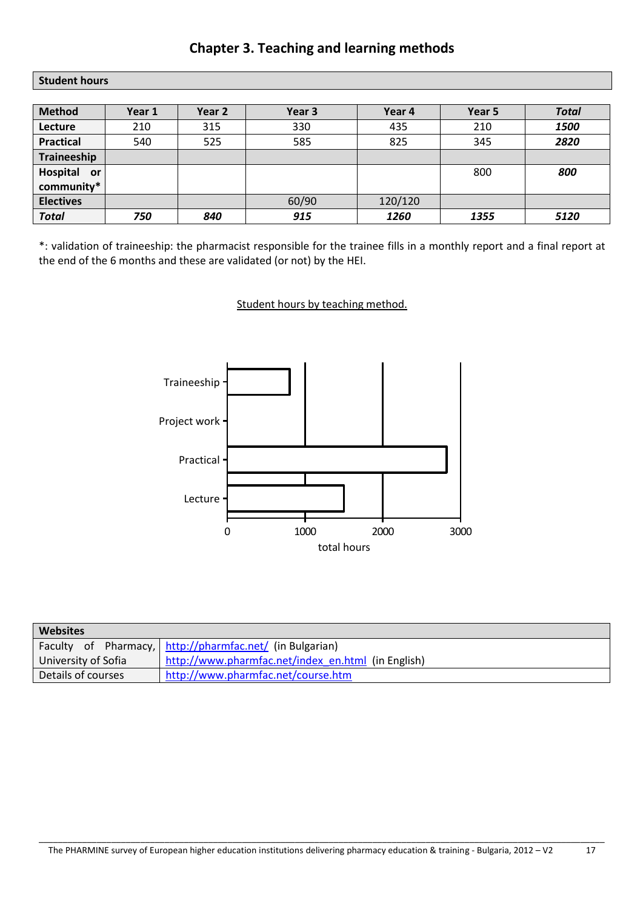## **Chapter 3. Teaching and learning methods**

#### **Student hours**

| <b>Method</b>         | Year 1 | Year 2 | Year 3 | Year 4  | Year 5 | <b>Total</b> |
|-----------------------|--------|--------|--------|---------|--------|--------------|
| Lecture               | 210    | 315    | 330    | 435     | 210    | 1500         |
| <b>Practical</b>      | 540    | 525    | 585    | 825     | 345    | 2820         |
| Traineeship           |        |        |        |         |        |              |
| Hospital<br><b>or</b> |        |        |        |         | 800    | 800          |
| community*            |        |        |        |         |        |              |
| <b>Electives</b>      |        |        | 60/90  | 120/120 |        |              |
| <b>Total</b>          | 750    | 840    | 915    | 1260    | 1355   | 5120         |

\*: validation of traineeship: the pharmacist responsible for the trainee fills in a monthly report and a final report at the end of the 6 months and these are validated (or not) by the HEI.

#### Student hours by teaching method.



| <b>Websites</b>     |                                                          |  |  |  |  |
|---------------------|----------------------------------------------------------|--|--|--|--|
|                     | Faculty of Pharmacy, http://pharmfac.net/ (in Bulgarian) |  |  |  |  |
| University of Sofia | http://www.pharmfac.net/index_en.html (in English)       |  |  |  |  |
| Details of courses  | http://www.pharmfac.net/course.htm                       |  |  |  |  |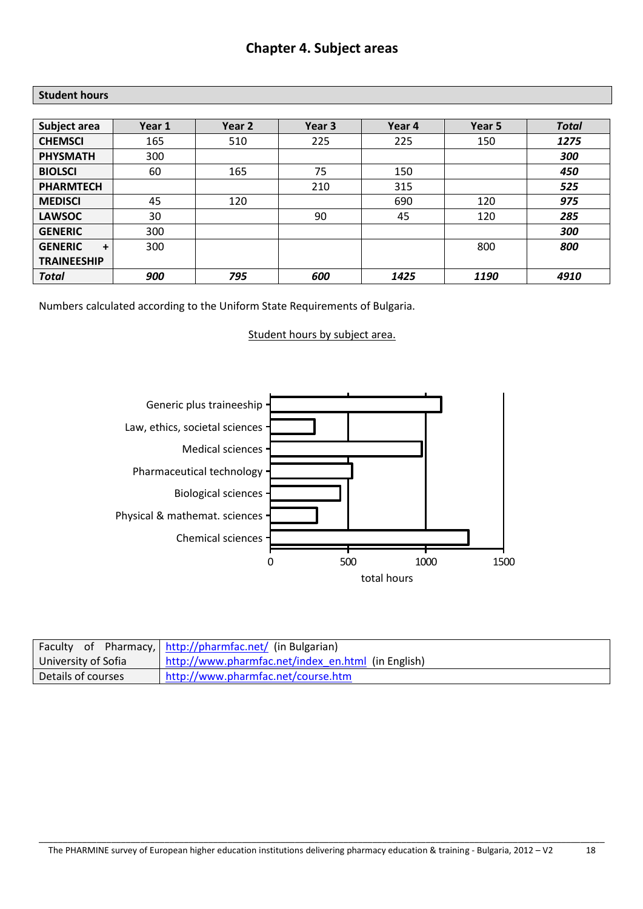### **Chapter 4. Subject areas**

#### **Student hours**

| Subject area        | Year 1 | Year 2 | Year <sub>3</sub> | Year 4 | Year 5 | <b>Total</b> |
|---------------------|--------|--------|-------------------|--------|--------|--------------|
| <b>CHEMSCI</b>      | 165    | 510    | 225               | 225    | 150    | 1275         |
| <b>PHYSMATH</b>     | 300    |        |                   |        |        | 300          |
| <b>BIOLSCI</b>      | 60     | 165    | 75                | 150    |        | 450          |
| <b>PHARMTECH</b>    |        |        | 210               | 315    |        | 525          |
| <b>MEDISCI</b>      | 45     | 120    |                   | 690    | 120    | 975          |
| <b>LAWSOC</b>       | 30     |        | 90                | 45     | 120    | 285          |
| <b>GENERIC</b>      | 300    |        |                   |        |        | 300          |
| <b>GENERIC</b><br>÷ | 300    |        |                   |        | 800    | 800          |
| <b>TRAINEESHIP</b>  |        |        |                   |        |        |              |
| <b>Total</b>        | 900    | 795    | 600               | 1425   | 1190   | 4910         |

Numbers calculated according to the Uniform State Requirements of Bulgaria.

Student hours by subject area.



|                     | Faculty of Pharmacy, http://pharmfac.net/ (in Bulgarian) |  |  |
|---------------------|----------------------------------------------------------|--|--|
| University of Sofia | http://www.pharmfac.net/index_en.html (in English)       |  |  |
| Details of courses  | http://www.pharmfac.net/course.htm                       |  |  |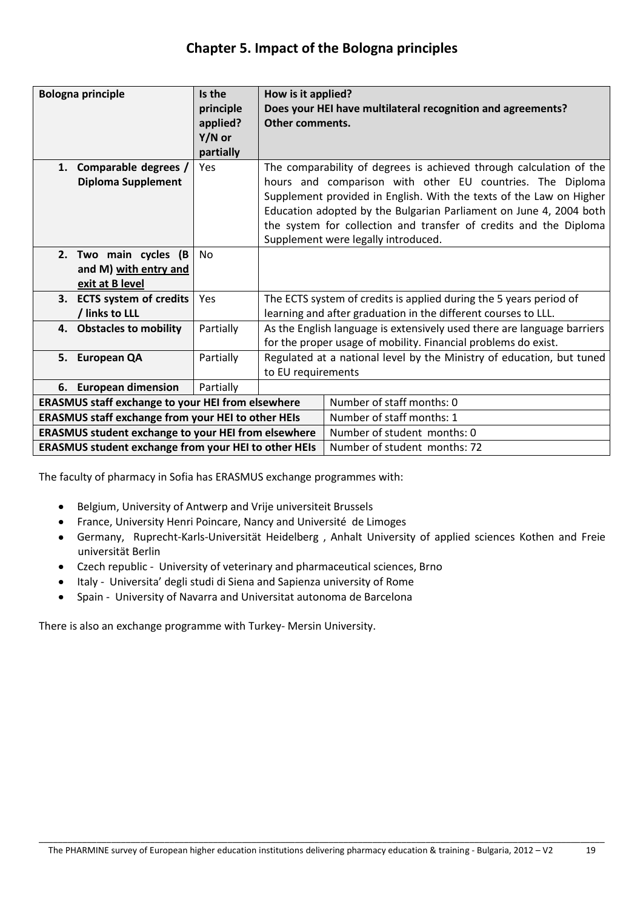| <b>Bologna principle</b>                                   |                                                             | Is the    | How is it applied?                                                      |                                                                     |  |
|------------------------------------------------------------|-------------------------------------------------------------|-----------|-------------------------------------------------------------------------|---------------------------------------------------------------------|--|
|                                                            |                                                             | principle |                                                                         | Does your HEI have multilateral recognition and agreements?         |  |
|                                                            |                                                             | applied?  | Other comments.                                                         |                                                                     |  |
|                                                            |                                                             | Y/N or    |                                                                         |                                                                     |  |
|                                                            |                                                             | partially |                                                                         |                                                                     |  |
| 1.                                                         | Comparable degrees /                                        | Yes       |                                                                         | The comparability of degrees is achieved through calculation of the |  |
|                                                            | <b>Diploma Supplement</b>                                   |           |                                                                         | hours and comparison with other EU countries. The Diploma           |  |
|                                                            |                                                             |           | Supplement provided in English. With the texts of the Law on Higher     |                                                                     |  |
|                                                            |                                                             |           |                                                                         | Education adopted by the Bulgarian Parliament on June 4, 2004 both  |  |
|                                                            |                                                             |           | the system for collection and transfer of credits and the Diploma       |                                                                     |  |
|                                                            |                                                             |           | Supplement were legally introduced.                                     |                                                                     |  |
|                                                            | 2. Two main cycles (B                                       | No        |                                                                         |                                                                     |  |
|                                                            |                                                             |           |                                                                         |                                                                     |  |
|                                                            | and M) with entry and                                       |           |                                                                         |                                                                     |  |
|                                                            | exit at B level                                             |           |                                                                         |                                                                     |  |
|                                                            | 3. ECTS system of credits                                   | Yes       | The ECTS system of credits is applied during the 5 years period of      |                                                                     |  |
|                                                            | / links to LLL                                              |           | learning and after graduation in the different courses to LLL.          |                                                                     |  |
|                                                            | 4. Obstacles to mobility                                    | Partially | As the English language is extensively used there are language barriers |                                                                     |  |
|                                                            |                                                             |           | for the proper usage of mobility. Financial problems do exist.          |                                                                     |  |
|                                                            | 5. European QA                                              | Partially | Regulated at a national level by the Ministry of education, but tuned   |                                                                     |  |
|                                                            |                                                             |           | to EU requirements                                                      |                                                                     |  |
|                                                            | 6. European dimension                                       | Partially |                                                                         |                                                                     |  |
| <b>ERASMUS staff exchange to your HEI from elsewhere</b>   |                                                             |           |                                                                         | Number of staff months: 0                                           |  |
| <b>ERASMUS staff exchange from your HEI to other HEIs</b>  |                                                             |           |                                                                         | Number of staff months: 1                                           |  |
| <b>ERASMUS student exchange to your HEI from elsewhere</b> |                                                             |           |                                                                         | Number of student months: 0                                         |  |
|                                                            | <b>ERASMUS student exchange from your HEI to other HEIs</b> |           |                                                                         | Number of student months: 72                                        |  |

The faculty of pharmacy in Sofia has ERASMUS exchange programmes with:

- Belgium, University of Antwerp and Vrije universiteit Brussels
- France, University Henri Poincare, Nancy and Université de Limoges
- Germany, Ruprecht-Karls-Universität Heidelberg , Anhalt University of applied sciences Kothen and Freie universität Berlin
- Czech republic University of veterinary and pharmaceutical sciences, Brno
- Italy Universita' degli studi di Siena and Sapienza university of Rome  $\bullet$
- Spain University of Navarra and Universitat autonoma de Barcelona  $\bullet$

There is also an exchange programme with Turkey- Mersin University.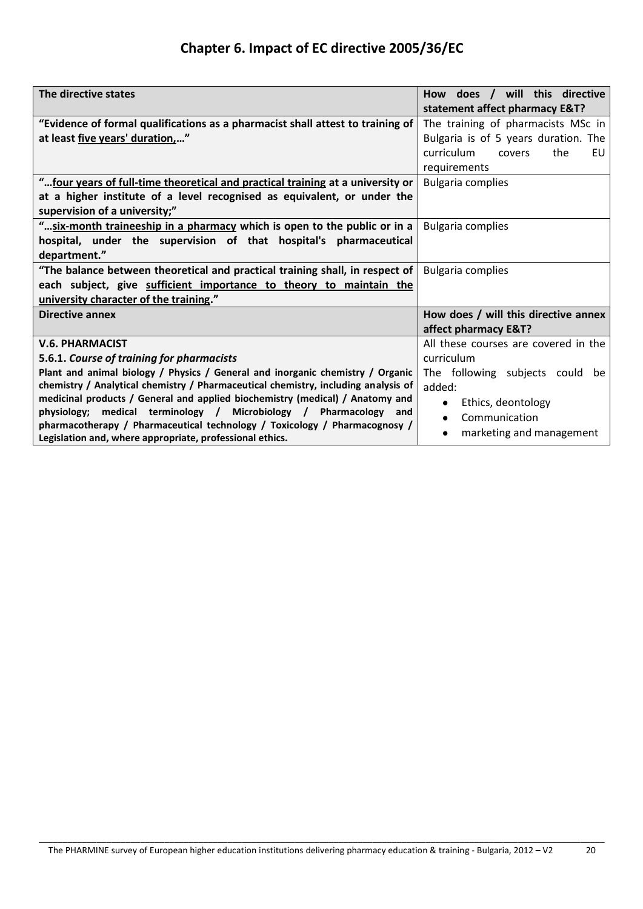# **Chapter 6. Impact of EC directive 2005/36/EC**

| The directive states                                                               | How does / will this directive       |  |
|------------------------------------------------------------------------------------|--------------------------------------|--|
|                                                                                    | statement affect pharmacy E&T?       |  |
| "Evidence of formal qualifications as a pharmacist shall attest to training of     | The training of pharmacists MSc in   |  |
| at least five years' duration,"                                                    | Bulgaria is of 5 years duration. The |  |
|                                                                                    | curriculum<br>the<br>EU<br>covers    |  |
|                                                                                    | requirements                         |  |
| " four years of full-time theoretical and practical training at a university or    | <b>Bulgaria complies</b>             |  |
| at a higher institute of a level recognised as equivalent, or under the            |                                      |  |
| supervision of a university;"                                                      |                                      |  |
| " six-month traineeship in a pharmacy which is open to the public or in a          | <b>Bulgaria complies</b>             |  |
| hospital, under the supervision of that hospital's pharmaceutical                  |                                      |  |
| department."                                                                       |                                      |  |
| "The balance between theoretical and practical training shall, in respect of       | <b>Bulgaria complies</b>             |  |
| each subject, give sufficient importance to theory to maintain the                 |                                      |  |
| university character of the training."                                             |                                      |  |
| <b>Directive annex</b>                                                             | How does / will this directive annex |  |
|                                                                                    | affect pharmacy E&T?                 |  |
| <b>V.6. PHARMACIST</b>                                                             | All these courses are covered in the |  |
| 5.6.1. Course of training for pharmacists                                          | curriculum                           |  |
| Plant and animal biology / Physics / General and inorganic chemistry / Organic     | The following subjects could be      |  |
| chemistry / Analytical chemistry / Pharmaceutical chemistry, including analysis of | added:                               |  |
| medicinal products / General and applied biochemistry (medical) / Anatomy and      | Ethics, deontology                   |  |
| medical terminology / Microbiology / Pharmacology<br>physiology;<br>and            | Communication<br>$\bullet$           |  |
| pharmacotherapy / Pharmaceutical technology / Toxicology / Pharmacognosy /         | marketing and management<br>٠        |  |
| Legislation and, where appropriate, professional ethics.                           |                                      |  |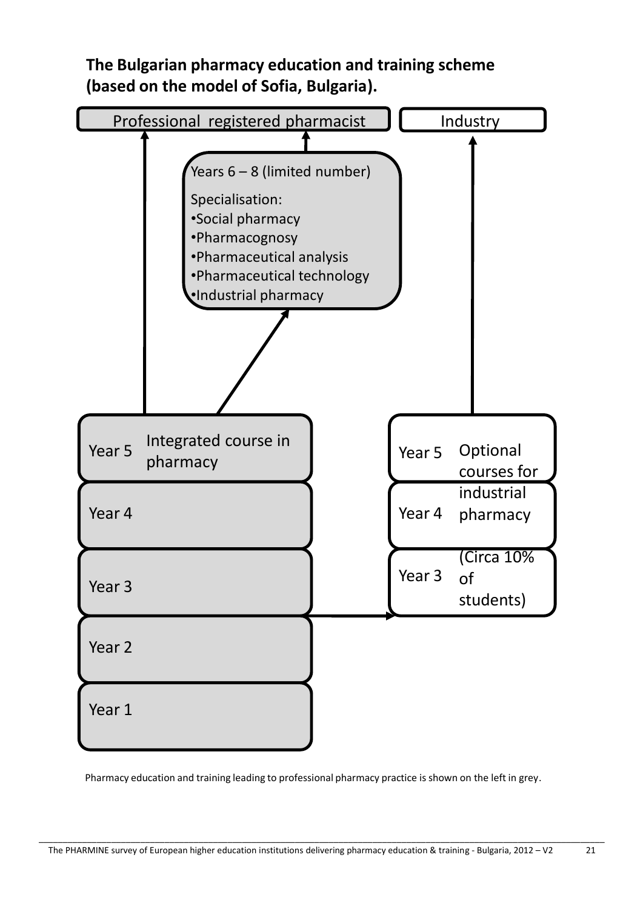



Pharmacy education and training leading to professional pharmacy practice is shown on the left in grey.